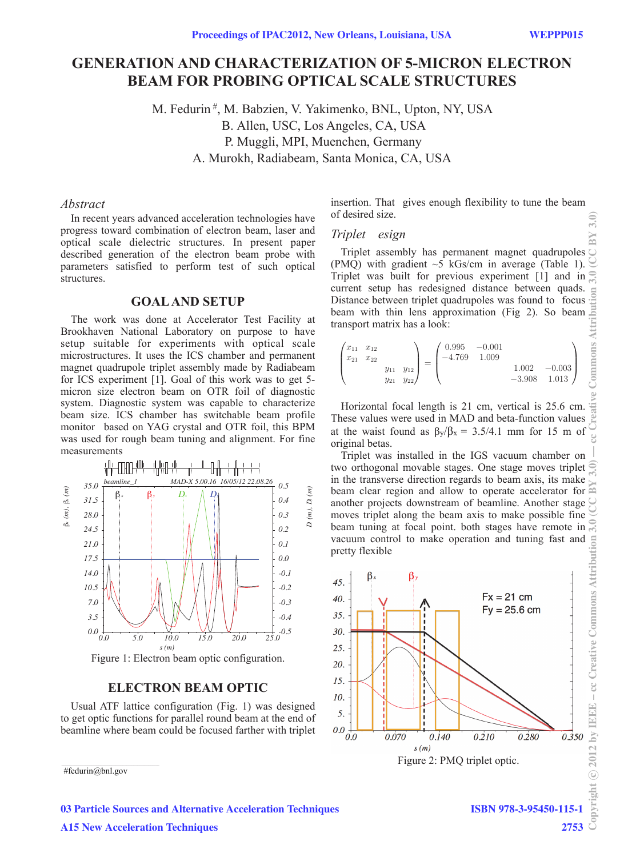# **GENERATION AND CHARACTERIZATION OF 5-MICRON ELECTRON BEAM FOR PROBING OPTICAL SCALE STRUCTURES**

M. Fedurin<sup>#</sup>, M. Babzien, V. Yakimenko, BNL, Upton, NY, USA B. Allen, USC, Los Angeles, CA, USA P. Muggli, MPI, Muenchen, Germany A. Murokh, Radiabeam, Santa Monica, CA, USA

## *Abstract*

In recent years advanced acceleration technologies have progress toward combination of electron beam, laser and optical scale dielectric structures. In present paper described generation of the electron beam probe with parameters satisfied to perform test of such optical structures.

## **GOAL AND SETUP**

The work was done at Accelerator Test Facility at Brookhaven National Laboratory on purpose to have setup suitable for experiments with optical scale microstructures. It uses the ICS chamber and permanent magnet quadrupole triplet assembly made by Radiabeam for ICS experiment [1]. Goal of this work was to get 5 micron size electron beam on OTR foil of diagnostic system. Diagnostic system was capable to characterize beam size. ICS chamber has switchable beam profile monitor based on YAG crystal and OTR foil, this BPM was used for rough beam tuning and alignment. For fine measurements



### **ELECTRON BEAM OPTIC**

Usual ATF lattice configuration (Fig. 1) was designed to get optic functions for parallel round beam at the end of beamline where beam could be focused farther with triplet

#fedurin@bnl.gov

insertion. That gives enough flexibility to tune the beam of desired size.

### *Triplet esign*

Triplet assembly has permanent magnet quadrupoles (PMO) with gradient  $\sim$  5 kGs/cm in average (Table 1). Triplet was built for previous experiment [1] and in current setup has redesigned distance between quads. Distance between triplet quadrupoles was found to focus beam with thin lens approximation (Fig 2). So beam transport matrix has a look:

$$
\begin{pmatrix} x_{11} & x_{12} \\ x_{21} & x_{22} \\ & y_{11} & y_{12} \\ & y_{21} & y_{22} \end{pmatrix} = \begin{pmatrix} 0.995 & -0.001 \\ -4.769 & 1.009 \\ & & 1.002 & -0.003 \\ & & -3.908 & 1.013 \end{pmatrix}
$$

Horizontal focal length is 21 cm, vertical is 25.6 cm.  $\frac{18}{100}$  hese values were used in MAD and beta-function values These values were used in MAD and beta-function values at the waist found as  $\beta_y/\beta_x = 3.5/4.1$  mm for 15 m of original betas.

Triplet was installed in the IGS vacuum chamber on two orthogonal movable stages. One stage moves triplet in the transverse direction regards to beam axis, its make beam clear region and allow to operate accelerator for another projects downstream of beamline. Another stage moves triplet along the beam axis to make possible fine beam tuning at focal point. both stages have remote in beam tuning at focal point. both stages have remote in vacuum control to make operation and tuning fast and pretty flexible



## 03 Particle Sources and Alternative Acceleration Techniques A15 New Acceleration Techniques

ISBN 978-3-95450-115-1